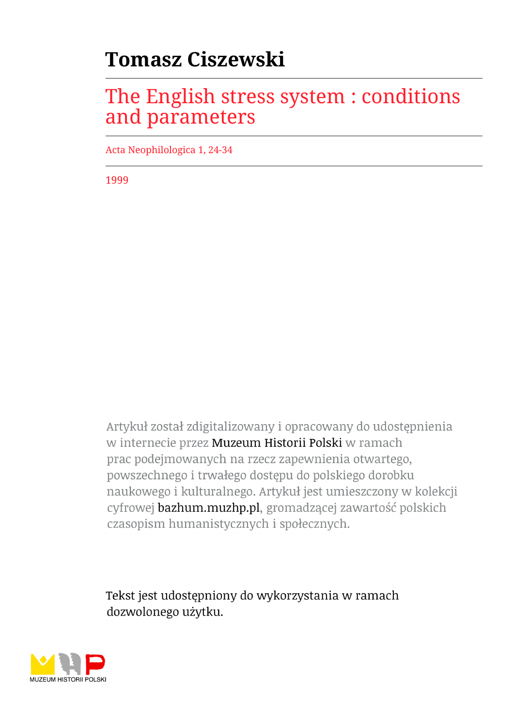# **Tomasz Ciszewski**

# The English stress system : conditions and parameters

Acta Neophilologica 1, 24-34

1999

Artykuł został zdigitalizowany i opracowany do udostępnienia w internecie przez Muzeum Historii Polski w ramach prac podejmowanych na rzecz zapewnienia otwartego, powszechnego i trwałego dostępu do polskiego dorobku naukowego i kulturalnego. Artykuł jest umieszczony w kolekcji cyfrowej bazhum.muzhp.pl, gromadzącej zawartość polskich czasopism humanistycznych i społecznych.

Tekst jest udostępniony do wykorzystania w ramach dozwolonego użytku.

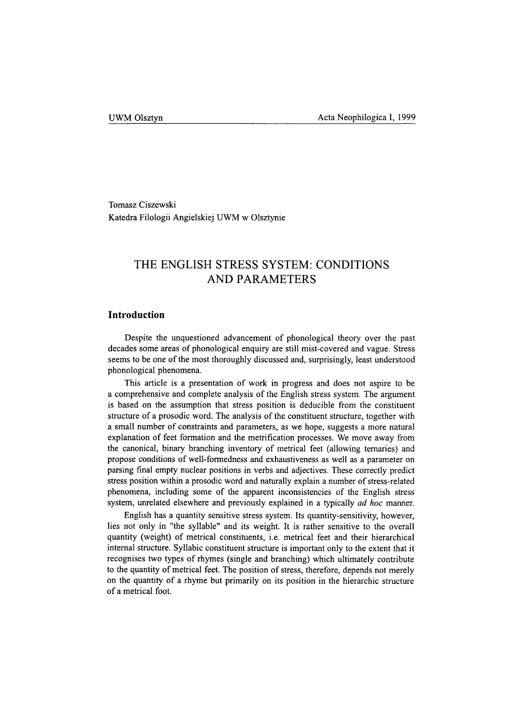Tomasz Ciszewski Katedra Filologii Angielskiej UWM w Olsztynie

## **THE ENGLISH STRESS SYSTEM: CONDITIONS AND PARAMETERS**

#### **Introduction**

Despite the unquestioned advancement of phonological theory over the past decades some areas of phonological enquiry are still mist-covered and vague. Stress seems to be one of the most thoroughly discussed and, surprisingly, least understood phonological phenomena.

This article is a presentation of work in progress and does not aspire to be a comprehensive and complete analysis of the English stress system. The argument is based on the assumption that stress position is deducible from the constituent structure of a prosodic word. The analysis of the constituent structure, together with a small number of constraints and parameters, as we hope, suggests a more natural explanation of feet formation and the metrification processes. We move away from the canonical, binary branching inventory of metrical feet (allowing ternaries) and propose conditions of well-formedness and exhaustiveness as well as a parameter on parsing final empty nuclear positions in verbs and adjectives. These correctly predict stress position within a prosodic word and naturally explain a number of stress-related phenomena, including some of the apparent inconsistencies of the English stress system, unrelated elsewhere and previously explained in a typically *ad hoc* manner.

English has a quantity sensitive stress system. Its quantity-sensitivity, however, lies not only in "the syllable" and its weight. It is rather sensitive to the overall quantity (weight) of metrical constituents, i.e. metrical feet and their hierarchical internal structure. Syllabic constituent structure is important only to the extent that it recognises two types of rhymes (single and branching) which ultimately contribute to the quantity of metrical feet. The position of stress, therefore, depends not merely on the quantity of a rhyme but primarily on its position in the hierarchic structure of a metrical foot.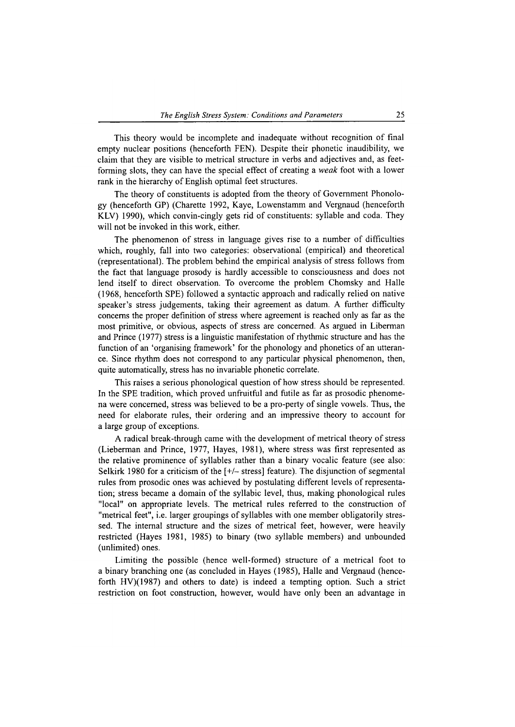This theory would be incomplete and inadequate without recognition of final empty nuclear positions (henceforth FEN). Despite their phonetic inaudibility, we claim that they are visible to metrical structure in verbs and adjectives and, as feetforming slots, they can have the special effect of creating a *weak* foot with a lower rank in the hierarchy of English optimal feet structures.

The theory of constituents is adopted from the theory of Government Phonology (henceforth GP) (Charette 1992, Kaye, Lowenstamm and Vergnaud (henceforth KLV) 1990), which convin-cingly gets rid of constituents: syllable and coda. They will not be invoked in this work, either.

The phenomenon of stress in language gives rise to a number of difficulties which, roughly, fall into two categories: observational (empirical) and theoretical (representational). The problem behind the empirical analysis of stress follows from the fact that language prosody is hardly accessible to consciousness and does not lend itself to direct observation. To overcome the problem Chomsky and Halle (1968, henceforth SPE) followed a syntactic approach and radically relied on native speaker's stress judgements, taking their agreement as datum. A further difficulty concerns the proper definition of stress where agreement is reached only as far as the most primitive, or obvious, aspects of stress are concerned. As argued in Liberman and Prince (1977) stress is a linguistic manifestation of rhythmic structure and has the function of an 'organising framework' for the phonology and phonetics of an utterance. Since rhythm does not correspond to any particular physical phenomenon, then, quite automatically, stress has no invariable phonetic correlate.

This raises a serious phonological question of how stress should be represented. In the SPE tradition, which proved unfruitful and futile as far as prosodic phenomena were concerned, stress was believed to be a pro-perty of single vowels. Thus, the need for elaborate rules, their ordering and an impressive theory to account for a large group of exceptions.

A radical break-through came with the development of metrical theory of stress (Lieberman and Prince, 1977, Hayes, 1981), where stress was first represented as the relative prominence of syllables rather than a binary vocalic feature (see also: Selkirk 1980 for a criticism of the [+/- stress] feature). The disjunction of segmental rules from prosodic ones was achieved by postulating different levels of representation; stress became a domain of the syllabic level, thus, making phonological rules "local" on appropriate levels. The metrical rules referred to the construction of "metrical feet", i.e. larger groupings of syllables with one member obligatorily stressed. The internal structure and the sizes of metrical feet, however, were heavily restricted (Hayes 1981, 1985) to binary (two syllable members) and unbounded (unlimited) ones.

Limiting the possible (hence well-formed) structure of a metrical foot to a binary branching one (as concluded in Hayes (1985), Halle and Vergnaud (henceforth HV)(1987) and others to date) is indeed a tempting option. Such a strict restriction on foot construction, however, would have only been an advantage in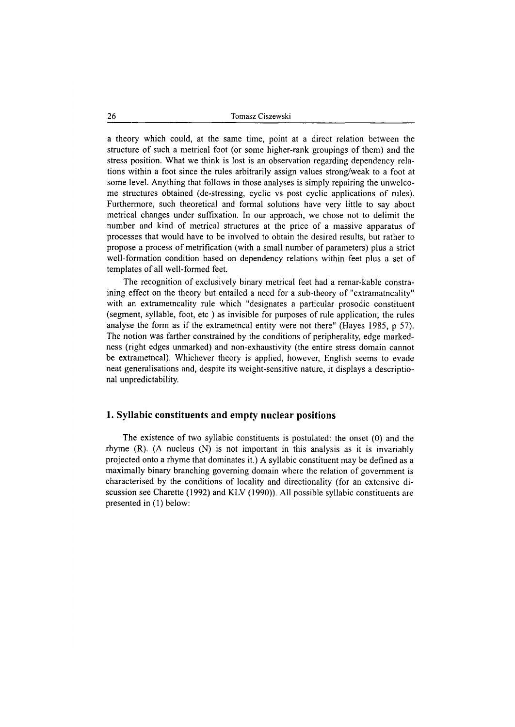a theory which could, at the same time, point at a direct relation between the structure of such a metrical foot (or some higher-rank groupings of them) and the stress position. What we think is lost is an observation regarding dependency relations within a foot since the rules arbitrarily assign values strong/weak to a foot at some level. Anything that follows in those analyses is simply repairing the unwelcome structures obtained (de-stressing, cyclic vs post cyclic applications of rules). Furthermore, such theoretical and formal solutions have very little to say about metrical changes under suffixation. In our approach, we chose not to delimit the number and kind of metrical structures at the price of a massive apparatus of processes that would have to be involved to obtain the desired results, but rather to propose a process of metrification (with a small number of parameters) plus a strict well-formation condition based on dependency relations within feet plus a set of templates of all well-formed feet.

The recognition of exclusively binary metrical feet had a remar-kable constraining effect on the theory but entailed a need for a sub-theory of "extramatncality" with an extrametncality rule which "designates a particular prosodic constituent (segment, syllable, foot, etc ) as invisible for purposes of rule application; the rules analyse the form as if the extrametncal entity were not there" (Hayes 1985, p 57). The notion was farther constrained by the conditions of peripherality, edge markedness (right edges unmarked) and non-exhaustivity (the entire stress domain cannot be extrametncal). Whichever theory is applied, however, English seems to evade neat generalisations and, despite its weight-sensitive nature, it displays a descriptional unpredictability.

#### **1. Syllabic constituents and empty nuclear positions**

The existence of two syllabic constituents is postulated: the onset (0) and the rhyme (R). (A nucleus (N) is not important in this analysis as it is invariably projected onto a rhyme that dominates it.) A syllabic constituent may be defined as a maximally binary branching governing domain where the relation of government is characterised by the conditions of locality and directionality (for an extensive discussion see Charette (1992) and KLV (1990)). All possible syllabic constituents are presented in (1) below: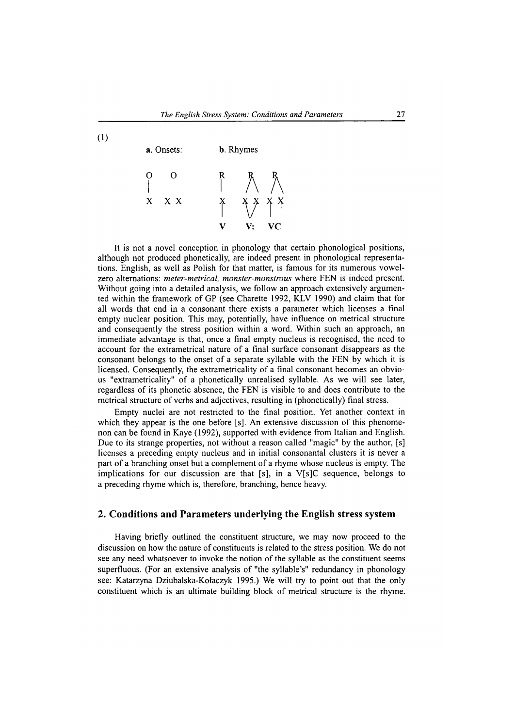**(** 1 **)**



It is not a novel conception in phonology that certain phonological positions, although not produced phonetically, are indeed present in phonological representations. English, as well as Polish for that matter, is famous for its numerous vowelzero alternations: *meter-metrical, monster-monstrous* where FEN is indeed present. Without going into a detailed analysis, we follow an approach extensively argumented within the framework of GP (see Charette 1992, KLV 1990) and claim that for all words that end in a consonant there exists a parameter which licenses a final empty nuclear position. This may, potentially, have influence on metrical structure and consequently the stress position within a word. Within such an approach, an immediate advantage is that, once a final empty nucleus is recognised, the need to account for the extrametrical nature of a final surface consonant disappears as the consonant belongs to the onset of a separate syllable with the FEN by which it is licensed. Consequently, the extrametricality of a final consonant becomes an obvious "extrametricality" of a phonetically unrealised syllable. As we will see later, regardless of its phonetic absence, the FEN is visible to and does contribute to the metrical structure of verbs and adjectives, resulting in (phonetically) final stress.

Empty nuclei are not restricted to the final position. Yet another context in which they appear is the one before [s]. An extensive discussion of this phenomenon can be found in Kaye (1992), supported with evidence from Italian and English. Due to its strange properties, not without a reason called "magic" by the author, [s] licenses a preceding empty nucleus and in initial consonantal clusters it is never a part of a branching onset but a complement of a rhyme whose nucleus is empty. The implications for our discussion are that [s], in a  $V[s]C$  sequence, belongs to a preceding rhyme which is, therefore, branching, hence heavy.

#### **2. Conditions and Parameters underlying the English stress system**

Having briefly outlined the constituent structure, we may now proceed to the discussion on how the nature of constituents is related to the stress position. We do not see any need whatsoever to invoke the notion of the syllable as the constituent seems superfluous. (For an extensive analysis of "the syllable's" redundancy in phonology see: Katarzyna Dziubalska-Kołaczyk 1995.) We will try to point out that the only constituent which is an ultimate building block of metrical structure is the rhyme.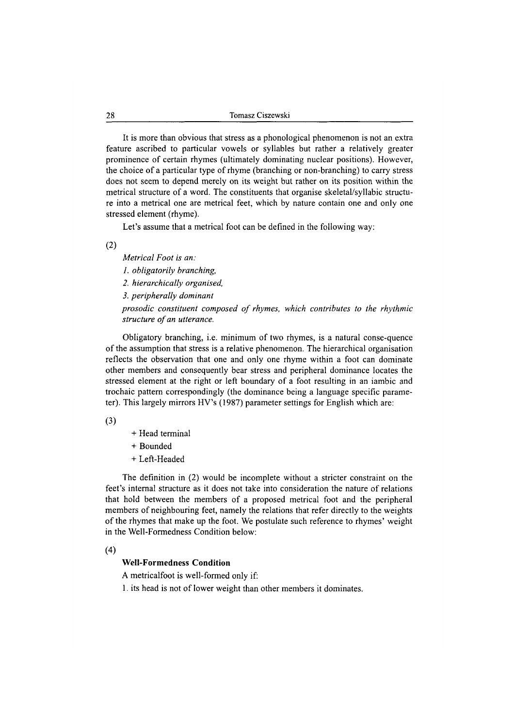It is more than obvious that stress as a phonological phenomenon is not an extra feature ascribed to particular vowels or syllables but rather a relatively greater prominence of certain rhymes (ultimately dominating nuclear positions). However, the choice of a particular type of rhyme (branching or non-branching) to carry stress does not seem to depend merely on its weight but rather on its position within the metrical structure of a word. The constituents that organise skeletal/syllabic structure into a metrical one are metrical feet, which by nature contain one and only one stressed element (rhyme).

Let's assume that a metrical foot can be defined in the following way:

(**2**)

*Metrical Foot is an: 1. obligatorily branching, 2. hierarchically organised, 3. peripherally dominant prosodic constituent composed of rhymes, which contributes to the rhythmic* structure of an utterance.

Obligatory branching, i.e. minimum of two rhymes, is a natural conse-quence of the assumption that stress is a relative phenomenon. The hierarchical organisation reflects the observation that one and only one rhyme within a foot can dominate other members and consequently bear stress and peripheral dominance locates the stressed element at the right or left boundary of a foot resulting in an iambic and trochaic pattern correspondingly (the dominance being a language specific parameter). This largely mirrors HV's (1987) parameter settings for English which are:

(3)

- + Head terminal
- + Bounded
- + Left-Headed

The definition in (2) would be incomplete without a stricter constraint on the feet's internal structure as it does not take into consideration the nature of relations that hold between the members of a proposed metrical foot and the peripheral members of neighbouring feet, namely the relations that refer directly to the weights of the rhymes that make up the foot. We postulate such reference to rhymes' weight in the Well-Formedness Condition below:

(4)

#### **Well-Formedness Condition**

A metricalfoot is well-formed only if:

1. its head is not of lower weight than other members it dominates.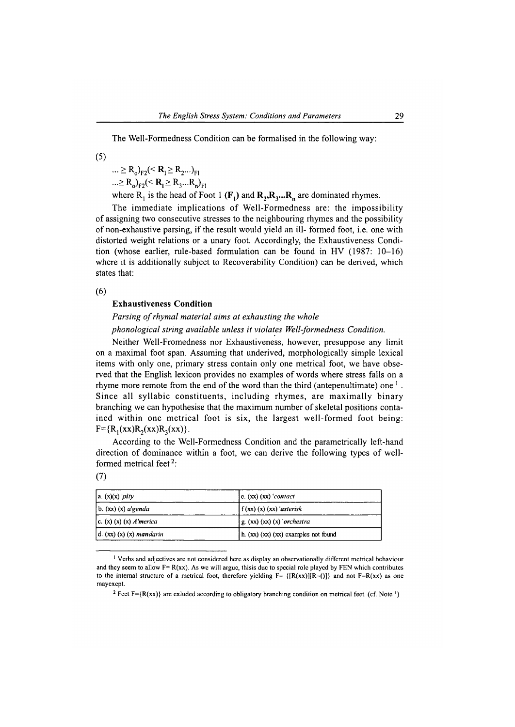The Well-Formedness Condition can be formalised in the following way:

(5)

 $\ldots \geq R_{\Omega_{\rm F2}} \leq R_1 \geq R_2 \ldots \geq R_{\rm F1}$  $... \ge R_o$ <sub>F2</sub> $(**R**<sub>1</sub> \ge R<sub>3</sub> ... R<sub>n</sub>)<sub>F1</sub>$ 

where  $R_1$  is the head of Foot 1  $(F_1)$  and  $R_2, R_3, \ldots, R_n$  are dominated rhymes.

The immediate implications of Well-Formedness are: the impossibility of assigning two consecutive stresses to the neighbouring rhymes and the possibility of non-exhaustive parsing, if the result would yield an ill- formed foot, i.e. one with distorted weight relations or a unary foot. Accordingly, the Exhaustiveness Condition (whose earlier, rule-based formulation can be found in HV (1987: 10-16) where it is additionally subject to Recoverability Condition) can be derived, which states that:

(**6**)

#### Exhaustiveness Condition

### *Parsing of rhymal material aims at exhausting the whole phonological string available unless it violates Well-formedness Condition.*

Neither Well-Fromedness nor Exhaustiveness, however, presuppose any limit on a maximal foot span. Assuming that underived, morphologically simple lexical items with only one, primary stress contain only one metrical foot, we have observed that the English lexicon provides no examples of words where stress falls on a rhyme more remote from the end of the word than the third (antepenultimate) one  $<sup>1</sup>$ .</sup> Since all syllabic constituents, including rhymes, are maximally binary branching we can hypothesise that the maximum number of skeletal positions contained within one metrical foot is six, the largest well-formed foot being:  $F = {R_1(xx)R_2(xx)R_3(xx)}.$ 

According to the Well-Formedness Condition and the parametrically left-hand direction of dominance within a foot, we can derive the following types of wellformed metrical feet<sup>2</sup>:

(7)

| $ a(x)(x) $ pity                                  | e. $(xx)$ $(xx)$ 'contact'           |
|---------------------------------------------------|--------------------------------------|
| $\vert$ b. $\vert$ xx $\vert$ (x) <i>a</i> 'genda | $\int f(xx)$ $(x)$ $(xx)$ 'asterisk  |
| $(c. (x) (x) (x) A'$ <i>merica</i>                | $g(x)$ $(x)$ $(x)$ 'orchestra        |
| $d.$ (xx) (x) (x) mandarin                        | h. (xx) (xx) (xx) examples not found |

<sup>&</sup>lt;sup>1</sup> Verbs and adjectives are not considered here as display an observationally different metrical behaviour and they seem to allow  $F = R(xx)$ . As we will argue, thisis due to special role played by FEN which contributes to the internal structure of a metrical foot, therefore yielding  $F = \{[R(xx)][R=(0)]\}$  and not  $F=R(xx)$  as one mayexept.

<sup>&</sup>lt;sup>2</sup> Feet F={R(xx)} are exluded according to obligatory branching condition on metrical feet. (cf. Note <sup>1</sup>)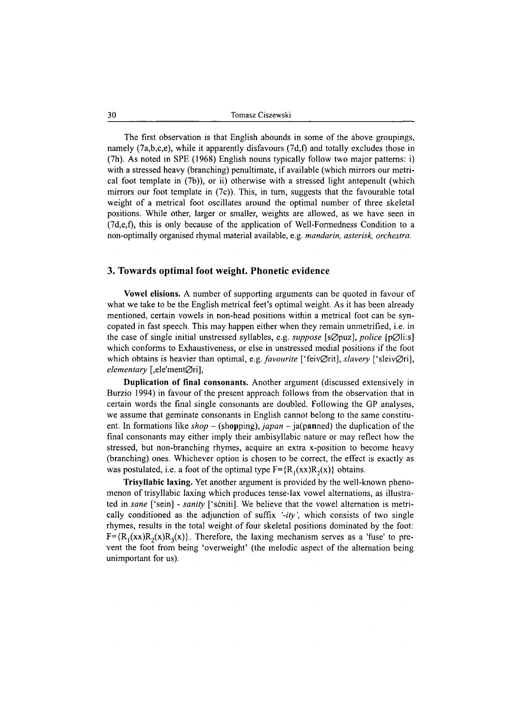The first observation is that English abounds in some of the above groupings, namely (7a,b,c,e), while it apparently disfavours (7d,f) and totally excludes those in (7h). As noted in SPE (1968) English nouns typically follow two major patterns: i) with a stressed heavy (branching) penultimate, if available (which mirrors our metrical foot template in (7b)), or ii) otherwise with a stressed light antepenult (which mirrors our foot template in  $(7c)$ ). This, in turn, suggests that the favourable total weight of a metrical foot oscillates around the optimal number of three skeletal positions. While other, larger or smaller, weights are allowed, as we have seen in (7d,e,f), this is only because of the application of Well-Formedness Condition to a non-optimally organised rhymal material available, e.g. *mandarin, asterisk, orchestra.*

#### **3. Towards optimal foot weight. Phonetic evidence**

**Vowel elisions.** A number of supporting arguments can be quoted in favour of what we take to be the English metrical feet's optimal weight. As it has been already mentioned, certain vowels in non-head positions within a metrical foot can be syncopated in fast speech. This may happen either when they remain unmetrified, i.e. in the case of single initial unstressed syllables, e.g. *suppose* [s $\varnothing$ puz], *police* [p $\varnothing$ li:s] which conforms to Exhaustiveness, or else in unstressed medial positions if the foot which obtains is heavier than optimal, e.g. *favourite* ['feivØrit], *slavery* ['sleivØri], *elementary* [,ele'mentØri],

**Duplication of final consonants.** Another argument (discussed extensively in Burzio 1994) in favour of the present approach follows from the observation that in certain words the final single consonants are doubled. Following the GP analyses, we assume that geminate consonants in English cannot belong to the same constituent. In formations like *shop* – (shopping), *japan* – ja(panned) the duplication of the final consonants may either imply their ambisyllabic nature or may reflect how the stressed, but non-branching rhymes, acquire an extra x-position to become heavy (branching) ones. Whichever option is chosen to be correct, the effect is exactly as was postulated, i.e. a foot of the optimal type  $F = {R_1(xx)R_2(x)}$  obtains.

**Trisyllabic laxing.** Yet another argument is provided by the well-known phenomenon of trisyllabic laxing which produces tense-lax vowel alternations, as illustrated in *sane* ['sein] - *sanity* ['scnitij. We believe that the vowel alternation is metrically conditioned as the adjunction of suffix *'-ity',* which consists of two single rhymes, results in the total weight of four skeletal positions dominated by the foot:  $F=\{R_1(xx)R_2(x)R_3(x)\}\.$  Therefore, the laxing mechanism serves as a 'fuse' to prevent the foot from being 'overweight' (the melodic aspect of the alternation being unimportant for us).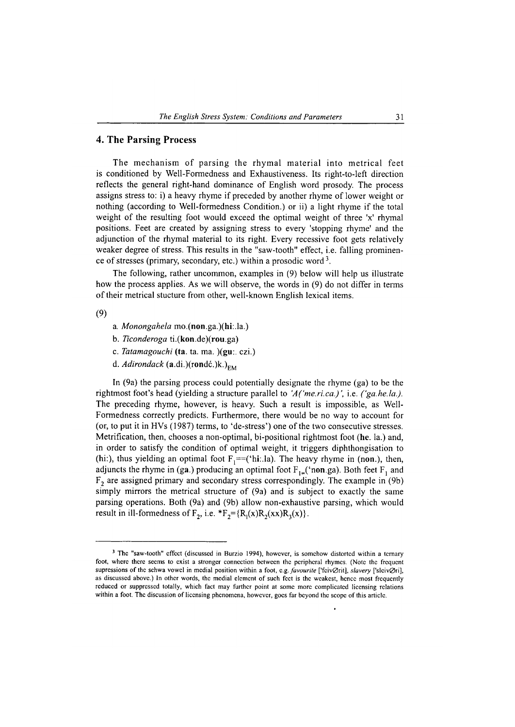#### **4. The Parsing Process**

The mechanism of parsing the rhymal material into metrical feet is conditioned by Well-Formedness and Exhaustiveness. Its right-to-left direction reflects the general right-hand dominance of English word prosody. The process assigns stress to: i) a heavy rhyme if preceded by another rhyme of lower weight or nothing (according to Well-formedness Condition.) or ii) a light rhyme if the total weight of the resulting foot would exceed the optimal weight of three 'x' rhymal positions. Feet are created by assigning stress to every 'stopping rhyme' and the adjunction of the rhymal material to its right. Every recessive foot gets relatively weaker degree of stress. This results in the "saw-tooth" effect, i.e. falling prominence of stresses (primary, secondary, etc.) within a prosodic word<sup>3</sup>.

The following, rather uncommon, examples in (9) below will help us illustrate how the process applies. As we will observe, the words in (9) do not differ in terms of their metrical stucture from other, well-known English lexical items.

(9)

- a. *Monongahela* mo.(non.ga.)(hi:.la.)
- b. *Ticonderoga* ti.(kon.de)(rou.ga)
- c. *Tatamagouchi* (ta. ta. ma. )(gu:. czi.)
- d. *Adirondack* (a.di.)(rondć.)k.)<sub>EM</sub>

In (9a) the parsing process could potentially designate the rhyme (ga) to be the rightmost foot's head (yielding a structure parallel to *'A('me.ri.ca.)',* i.e. *( 'ga.he.la.).* The preceding rhyme, however, is heavy. Such a result is impossible, as Well-Formedness correctly predicts. Furthermore, there would be no way to account for (or, to put it in HVs (1987) terms, to 'de-stress') one of the two consecutive stresses. Metrification, then, chooses a non-optimal, bi-positional rightmost foot (he. la.) and, in order to satisfy the condition of optimal weight, it triggers diphthongisation to (hi:), thus yielding an optimal foot  $F_1 = ({}^{\cdot}$ hi:.la). The heavy rhyme in (non.), then, adjuncts the rhyme in (ga.) producing an optimal foot  $F_{1}$  ('non.ga). Both feet  $F_1$  and  $F<sub>2</sub>$  are assigned primary and secondary stress correspondingly. The example in (9b) simply mirrors the metrical structure of (9a) and is subject to exactly the same parsing operations. Both (9a) and (9b) allow non-exhaustive parsing, which would result in ill-formedness of  $F_2$ , i.e.  $*F_2 = {R_1(x)R_2(xx)R_3(x)}$ .

<sup>&</sup>lt;sup>3</sup> The "saw-tooth" effect (discussed in Burzio 1994), however, is somehow distorted within a ternary foot, where there seems to exist a stronger connection between the peripheral rhymes. (Note the frequent supressions of the schwa vowel in medial position within a foot, e.g. *favourite* ['fcivØrit], *slavery* ['slcivØri], as discussed above.) In other words, the medial element of such feet is the weakest, hence most frequently reduced or suppressed totally, which fact may further point at some more complicated licensing relations within a foot. The discussion of licensing phenomena, however, goes far beyond the scope of this article.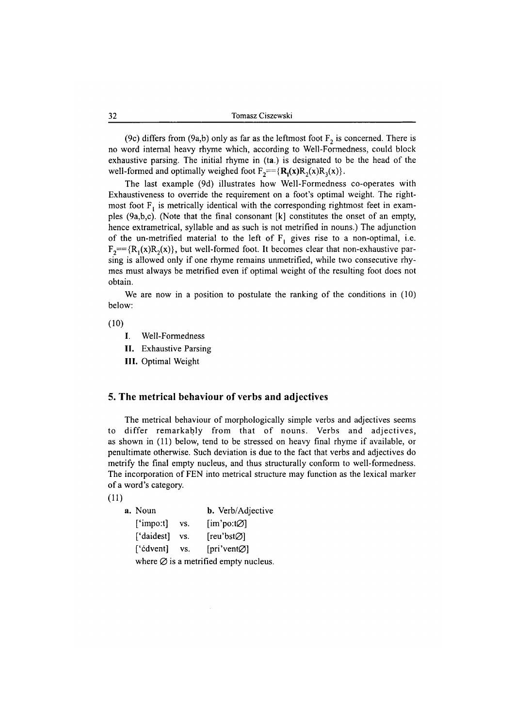(9c) differs from (9a,b) only as far as the leftmost foot  $F<sub>2</sub>$  is concerned. There is no word internal heavy rhyme which, according to Well-Formedness, could block exhaustive parsing. The initial rhyme in (ta.) is designated to be the head of the well-formed and optimally weighed foot  $F_2 = {R_1(x)R_2(x)R_3(x)}$ .

The last example (9d) illustrates how Well-Formedness co-operates with Exhaustiveness to override the requirement on a foot's optimal weight. The rightmost foot  $F_t$  is metrically identical with the corresponding rightmost feet in examples (9a,b,c). (Note that the final consonant [k] constitutes the onset of an empty, hence extrametrical, syllable and as such is not metrified in nouns.) The adjunction of the un-metrified material to the left of  $F_1$  gives rise to a non-optimal, i.e.  $F_2 = {R_1(x)R_2(x)}$ , but well-formed foot. It becomes clear that non-exhaustive parsing is allowed only if one rhyme remains unmetrified, while two consecutive rhymes must always be metrified even if optimal weight of the resulting foot does not obtain.

We are now in a position to postulate the ranking of the conditions in  $(10)$ below:

 $(10)$ 

- I. Well-Formedness
- **II.** Exhaustive Parsing
- **III.** Optimal Weight

#### **5. The metrical behaviour of verbs and adjectives**

The metrical behaviour of morphologically simple verbs and adjectives seems to differ remarkably from that of nouns. Verbs and adjectives, as shown in (11) below, tend to be stressed on heavy final rhyme if available, or penultimate otherwise. Such deviation is due to the fact that verbs and adjectives do metrify the final empty nucleus, and thus structurally conform to well-formedness. The incorporation of FEN into metrical structure may function as the lexical marker of a word's category.

**(ID**

| <b>a.</b> Noun |     | <b>b.</b> Verb/Adjective                        |
|----------------|-----|-------------------------------------------------|
| $[$ 'impo:t]   | VS. | $\lim$ po:t $\varnothing$ ]                     |
| ['daidest]     | VS. | [reu'bst⊘]                                      |
| ['cdvent]      | VS. | [pri'vent $\varnothing$ ]                       |
|                |     | where $\emptyset$ is a metrified empty nucleus. |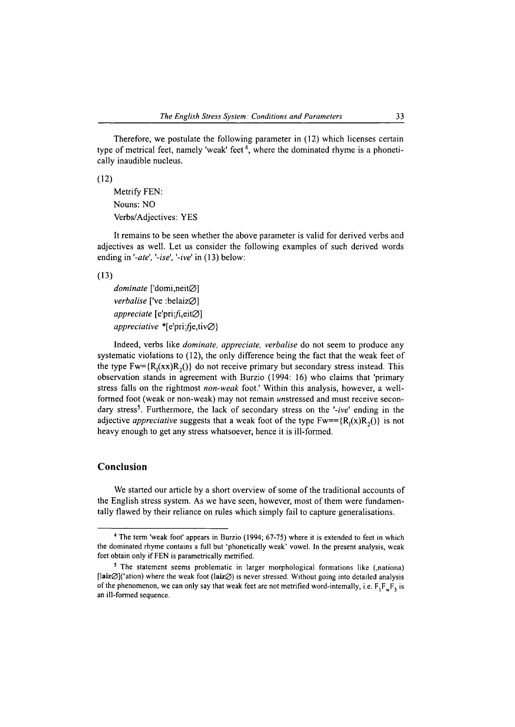Therefore, we postulate the following parameter in (12) which licenses certain type of metrical feet, namely 'weak' feet<sup>4</sup>, where the dominated rhyme is a phonetically inaudible nucleus.

 $(12)$ 

Metrify FEN: Nouns: NO Verbs/Adjectives: YES

It remains to be seen whether the above parameter is valid for derived verbs and adjectives as well. Let us consider the following examples of such derived words ending in *'-ate', '-ise', '-ive'* in (13) below:

(13)

*dominate* ['domi,neitØ] *verbalise* ['ve :belaiz $\varnothing$ ] *appreciate* [e'pri:/i,eit0] *appreciative* \*[e'pri:*fie,tiv* $\emptyset$ }

Indeed, verbs like *dominate, appreciate, verbalise* do not seem to produce any systematic violations to (12), the only difference being the fact that the weak feet of the type  $Fw = {R_1(xx)R_2}$  do not receive primary but secondary stress instead. This observation stands in agreement with Burzio (1994: 16) who claims that 'primary stress falls on the rightmost *non-weak* foot.' Within this analysis, however, a wellformed foot (weak or non-weak) may not remain unstressed and must receive secondary stress<sup>5</sup>. Furthermore, the lack of secondary stress on the '-ive' ending in the adjective *appreciative* suggests that a weak foot of the type  $Fw = {R_1(x)R_2(\)}$  is not heavy enough to get any stress whatsoever, hence it is ill-formed.

### **Conclusion**

We started our article by a short overview of some of the traditional accounts of the English stress system. As we have seen, however, most of them were fundamentally flawed by their reliance on rules which simply fail to capture generalisations.

**<sup>4</sup> The term 'weak foot' appears in Burzio (1994; 67-75) where it is extended to feet in which the dominated rhyme contains a full but 'phonetically weak' vowel. In the present analysis, weak feet obtain only if FEN is parametrically metrified.**

**<sup>5</sup> The statement seems problematic in larger morphological formations like (,nationa) [laiz0]('ation) where the weak foot (laiz0) is never stressed. Without going into detailed analysis** of the phenomenon, we can only say that weak feet are not metrified word-intemally, i.e.  $F_1F_wF_3$  is **an ill-formed sequence.**